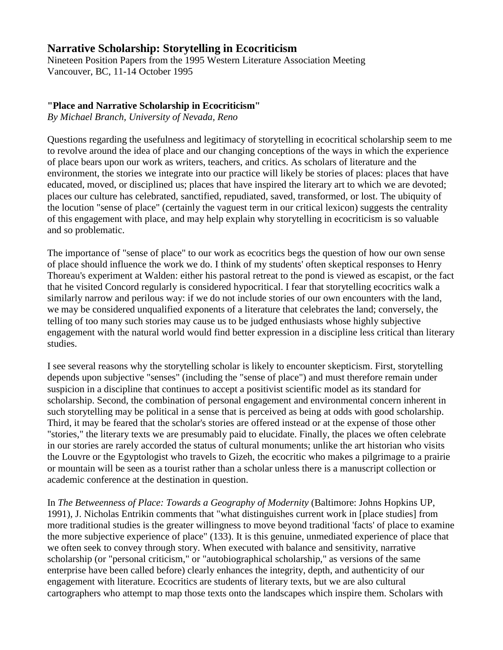# **Narrative Scholarship: Storytelling in Ecocriticism**

Nineteen Position Papers from the 1995 Western Literature Association Meeting Vancouver, BC, 11-14 October 1995

## **"Place and Narrative Scholarship in Ecocriticism"**

*By Michael Branch, University of Nevada, Reno*

Questions regarding the usefulness and legitimacy of storytelling in ecocritical scholarship seem to me to revolve around the idea of place and our changing conceptions of the ways in which the experience of place bears upon our work as writers, teachers, and critics. As scholars of literature and the environment, the stories we integrate into our practice will likely be stories of places: places that have educated, moved, or disciplined us; places that have inspired the literary art to which we are devoted; places our culture has celebrated, sanctified, repudiated, saved, transformed, or lost. The ubiquity of the locution "sense of place" (certainly the vaguest term in our critical lexicon) suggests the centrality of this engagement with place, and may help explain why storytelling in ecocriticism is so valuable and so problematic.

The importance of "sense of place" to our work as ecocritics begs the question of how our own sense of place should influence the work we do. I think of my students' often skeptical responses to Henry Thoreau's experiment at Walden: either his pastoral retreat to the pond is viewed as escapist, or the fact that he visited Concord regularly is considered hypocritical. I fear that storytelling ecocritics walk a similarly narrow and perilous way: if we do not include stories of our own encounters with the land, we may be considered unqualified exponents of a literature that celebrates the land; conversely, the telling of too many such stories may cause us to be judged enthusiasts whose highly subjective engagement with the natural world would find better expression in a discipline less critical than literary studies.

I see several reasons why the storytelling scholar is likely to encounter skepticism. First, storytelling depends upon subjective "senses" (including the "sense of place") and must therefore remain under suspicion in a discipline that continues to accept a positivist scientific model as its standard for scholarship. Second, the combination of personal engagement and environmental concern inherent in such storytelling may be political in a sense that is perceived as being at odds with good scholarship. Third, it may be feared that the scholar's stories are offered instead or at the expense of those other "stories," the literary texts we are presumably paid to elucidate. Finally, the places we often celebrate in our stories are rarely accorded the status of cultural monuments; unlike the art historian who visits the Louvre or the Egyptologist who travels to Gizeh, the ecocritic who makes a pilgrimage to a prairie or mountain will be seen as a tourist rather than a scholar unless there is a manuscript collection or academic conference at the destination in question.

In *The Betweenness of Place: Towards a Geography of Modernity* (Baltimore: Johns Hopkins UP, 1991), J. Nicholas Entrikin comments that "what distinguishes current work in [place studies] from more traditional studies is the greater willingness to move beyond traditional 'facts' of place to examine the more subjective experience of place" (133). It is this genuine, unmediated experience of place that we often seek to convey through story. When executed with balance and sensitivity, narrative scholarship (or "personal criticism," or "autobiographical scholarship," as versions of the same enterprise have been called before) clearly enhances the integrity, depth, and authenticity of our engagement with literature. Ecocritics are students of literary texts, but we are also cultural cartographers who attempt to map those texts onto the landscapes which inspire them. Scholars with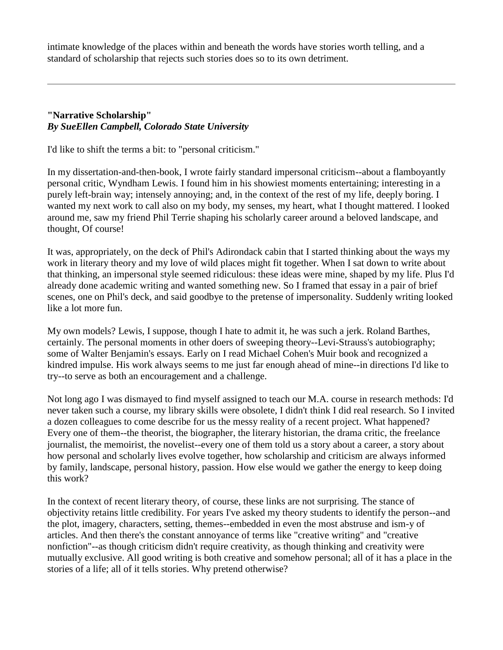intimate knowledge of the places within and beneath the words have stories worth telling, and a standard of scholarship that rejects such stories does so to its own detriment.

### **"Narrative Scholarship"** *By SueEllen Campbell, Colorado State University*

I'd like to shift the terms a bit: to "personal criticism."

In my dissertation-and-then-book, I wrote fairly standard impersonal criticism--about a flamboyantly personal critic, Wyndham Lewis. I found him in his showiest moments entertaining; interesting in a purely left-brain way; intensely annoying; and, in the context of the rest of my life, deeply boring. I wanted my next work to call also on my body, my senses, my heart, what I thought mattered. I looked around me, saw my friend Phil Terrie shaping his scholarly career around a beloved landscape, and thought, Of course!

It was, appropriately, on the deck of Phil's Adirondack cabin that I started thinking about the ways my work in literary theory and my love of wild places might fit together. When I sat down to write about that thinking, an impersonal style seemed ridiculous: these ideas were mine, shaped by my life. Plus I'd already done academic writing and wanted something new. So I framed that essay in a pair of brief scenes, one on Phil's deck, and said goodbye to the pretense of impersonality. Suddenly writing looked like a lot more fun.

My own models? Lewis, I suppose, though I hate to admit it, he was such a jerk. Roland Barthes, certainly. The personal moments in other doers of sweeping theory--Levi-Strauss's autobiography; some of Walter Benjamin's essays. Early on I read Michael Cohen's Muir book and recognized a kindred impulse. His work always seems to me just far enough ahead of mine--in directions I'd like to try--to serve as both an encouragement and a challenge.

Not long ago I was dismayed to find myself assigned to teach our M.A. course in research methods: I'd never taken such a course, my library skills were obsolete, I didn't think I did real research. So I invited a dozen colleagues to come describe for us the messy reality of a recent project. What happened? Every one of them--the theorist, the biographer, the literary historian, the drama critic, the freelance journalist, the memoirist, the novelist--every one of them told us a story about a career, a story about how personal and scholarly lives evolve together, how scholarship and criticism are always informed by family, landscape, personal history, passion. How else would we gather the energy to keep doing this work?

In the context of recent literary theory, of course, these links are not surprising. The stance of objectivity retains little credibility. For years I've asked my theory students to identify the person--and the plot, imagery, characters, setting, themes--embedded in even the most abstruse and ism-y of articles. And then there's the constant annoyance of terms like "creative writing" and "creative nonfiction"--as though criticism didn't require creativity, as though thinking and creativity were mutually exclusive. All good writing is both creative and somehow personal; all of it has a place in the stories of a life; all of it tells stories. Why pretend otherwise?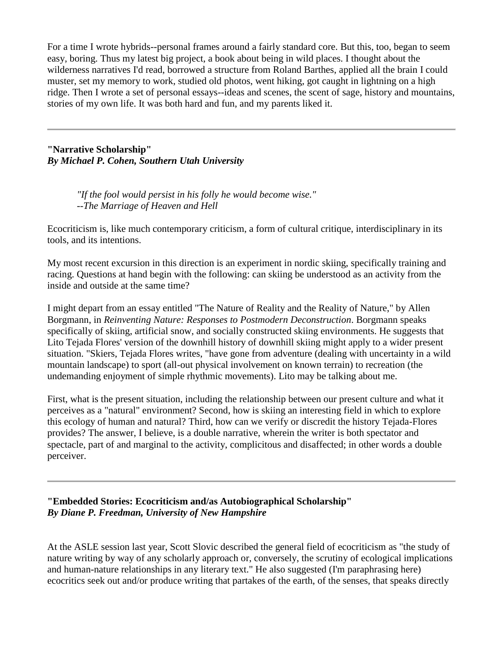For a time I wrote hybrids--personal frames around a fairly standard core. But this, too, began to seem easy, boring. Thus my latest big project, a book about being in wild places. I thought about the wilderness narratives I'd read, borrowed a structure from Roland Barthes, applied all the brain I could muster, set my memory to work, studied old photos, went hiking, got caught in lightning on a high ridge. Then I wrote a set of personal essays--ideas and scenes, the scent of sage, history and mountains, stories of my own life. It was both hard and fun, and my parents liked it.

**"Narrative Scholarship"** *By Michael P. Cohen, Southern Utah University*

> *"If the fool would persist in his folly he would become wise." --The Marriage of Heaven and Hell*

Ecocriticism is, like much contemporary criticism, a form of cultural critique, interdisciplinary in its tools, and its intentions.

My most recent excursion in this direction is an experiment in nordic skiing, specifically training and racing. Questions at hand begin with the following: can skiing be understood as an activity from the inside and outside at the same time?

I might depart from an essay entitled "The Nature of Reality and the Reality of Nature," by Allen Borgmann, in *Reinventing Nature: Responses to Postmodern Deconstruction*. Borgmann speaks specifically of skiing, artificial snow, and socially constructed skiing environments. He suggests that Lito Tejada Flores' version of the downhill history of downhill skiing might apply to a wider present situation. "Skiers, Tejada Flores writes, "have gone from adventure (dealing with uncertainty in a wild mountain landscape) to sport (all-out physical involvement on known terrain) to recreation (the undemanding enjoyment of simple rhythmic movements). Lito may be talking about me.

First, what is the present situation, including the relationship between our present culture and what it perceives as a "natural" environment? Second, how is skiing an interesting field in which to explore this ecology of human and natural? Third, how can we verify or discredit the history Tejada-Flores provides? The answer, I believe, is a double narrative, wherein the writer is both spectator and spectacle, part of and marginal to the activity, complicitous and disaffected; in other words a double perceiver.

**"Embedded Stories: Ecocriticism and/as Autobiographical Scholarship"** *By Diane P. Freedman, University of New Hampshire*

At the ASLE session last year, Scott Slovic described the general field of ecocriticism as "the study of nature writing by way of any scholarly approach or, conversely, the scrutiny of ecological implications and human-nature relationships in any literary text." He also suggested (I'm paraphrasing here) ecocritics seek out and/or produce writing that partakes of the earth, of the senses, that speaks directly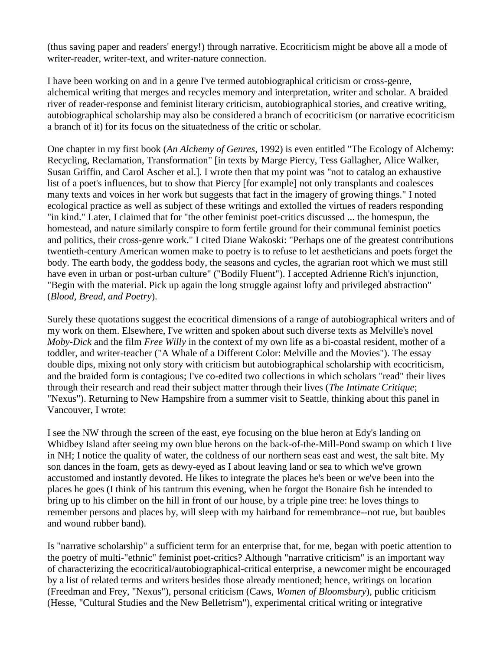(thus saving paper and readers' energy!) through narrative. Ecocriticism might be above all a mode of writer-reader, writer-text, and writer-nature connection.

I have been working on and in a genre I've termed autobiographical criticism or cross-genre, alchemical writing that merges and recycles memory and interpretation, writer and scholar. A braided river of reader-response and feminist literary criticism, autobiographical stories, and creative writing, autobiographical scholarship may also be considered a branch of ecocriticism (or narrative ecocriticism a branch of it) for its focus on the situatedness of the critic or scholar.

One chapter in my first book (*An Alchemy of Genres*, 1992) is even entitled "The Ecology of Alchemy: Recycling, Reclamation, Transformation" [in texts by Marge Piercy, Tess Gallagher, Alice Walker, Susan Griffin, and Carol Ascher et al.]. I wrote then that my point was "not to catalog an exhaustive list of a poet's influences, but to show that Piercy [for example] not only transplants and coalesces many texts and voices in her work but suggests that fact in the imagery of growing things." I noted ecological practice as well as subject of these writings and extolled the virtues of readers responding "in kind." Later, I claimed that for "the other feminist poet-critics discussed ... the homespun, the homestead, and nature similarly conspire to form fertile ground for their communal feminist poetics and politics, their cross-genre work." I cited Diane Wakoski: "Perhaps one of the greatest contributions twentieth-century American women make to poetry is to refuse to let aestheticians and poets forget the body. The earth body, the goddess body, the seasons and cycles, the agrarian root which we must still have even in urban or post-urban culture" ("Bodily Fluent"). I accepted Adrienne Rich's injunction, "Begin with the material. Pick up again the long struggle against lofty and privileged abstraction" (*Blood, Bread, and Poetry*).

Surely these quotations suggest the ecocritical dimensions of a range of autobiographical writers and of my work on them. Elsewhere, I've written and spoken about such diverse texts as Melville's novel *Moby-Dick* and the film *Free Willy* in the context of my own life as a bi-coastal resident, mother of a toddler, and writer-teacher ("A Whale of a Different Color: Melville and the Movies"). The essay double dips, mixing not only story with criticism but autobiographical scholarship with ecocriticism, and the braided form is contagious; I've co-edited two collections in which scholars "read" their lives through their research and read their subject matter through their lives (*The Intimate Critique*; "Nexus"). Returning to New Hampshire from a summer visit to Seattle, thinking about this panel in Vancouver, I wrote:

I see the NW through the screen of the east, eye focusing on the blue heron at Edy's landing on Whidbey Island after seeing my own blue herons on the back-of-the-Mill-Pond swamp on which I live in NH; I notice the quality of water, the coldness of our northern seas east and west, the salt bite. My son dances in the foam, gets as dewy-eyed as I about leaving land or sea to which we've grown accustomed and instantly devoted. He likes to integrate the places he's been or we've been into the places he goes (I think of his tantrum this evening, when he forgot the Bonaire fish he intended to bring up to his climber on the hill in front of our house, by a triple pine tree: he loves things to remember persons and places by, will sleep with my hairband for remembrance--not rue, but baubles and wound rubber band).

Is "narrative scholarship" a sufficient term for an enterprise that, for me, began with poetic attention to the poetry of multi-"ethnic" feminist poet-critics? Although "narrative criticism" is an important way of characterizing the ecocritical/autobiographical-critical enterprise, a newcomer might be encouraged by a list of related terms and writers besides those already mentioned; hence, writings on location (Freedman and Frey, "Nexus"), personal criticism (Caws, *Women of Bloomsbury*), public criticism (Hesse, "Cultural Studies and the New Belletrism"), experimental critical writing or integrative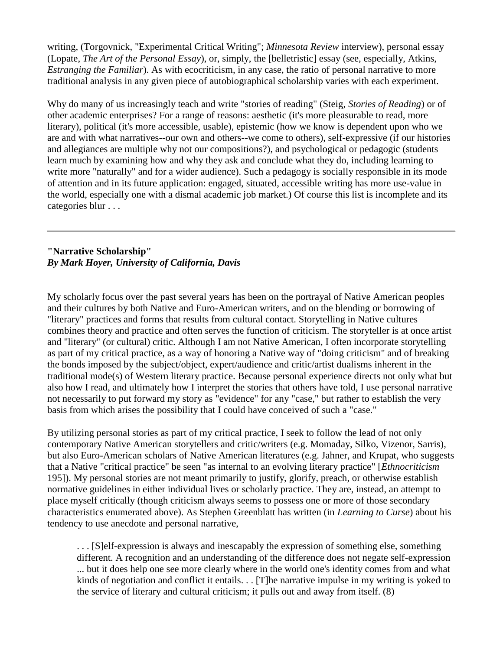writing, (Torgovnick, "Experimental Critical Writing"; *Minnesota Review* interview), personal essay (Lopate, *The Art of the Personal Essay*), or, simply, the [belletristic] essay (see, especially, Atkins, *Estranging the Familiar*). As with ecocriticism, in any case, the ratio of personal narrative to more traditional analysis in any given piece of autobiographical scholarship varies with each experiment.

Why do many of us increasingly teach and write "stories of reading" (Steig, *Stories of Reading*) or of other academic enterprises? For a range of reasons: aesthetic (it's more pleasurable to read, more literary), political (it's more accessible, usable), epistemic (how we know is dependent upon who we are and with what narratives--our own and others--we come to others), self-expressive (if our histories and allegiances are multiple why not our compositions?), and psychological or pedagogic (students learn much by examining how and why they ask and conclude what they do, including learning to write more "naturally" and for a wider audience). Such a pedagogy is socially responsible in its mode of attention and in its future application: engaged, situated, accessible writing has more use-value in the world, especially one with a dismal academic job market.) Of course this list is incomplete and its categories blur . . .

# **"Narrative Scholarship"** *By Mark Hoyer, University of California, Davis*

My scholarly focus over the past several years has been on the portrayal of Native American peoples and their cultures by both Native and Euro-American writers, and on the blending or borrowing of "literary" practices and forms that results from cultural contact. Storytelling in Native cultures combines theory and practice and often serves the function of criticism. The storyteller is at once artist and "literary" (or cultural) critic. Although I am not Native American, I often incorporate storytelling as part of my critical practice, as a way of honoring a Native way of "doing criticism" and of breaking the bonds imposed by the subject/object, expert/audience and critic/artist dualisms inherent in the traditional mode(s) of Western literary practice. Because personal experience directs not only what but also how I read, and ultimately how I interpret the stories that others have told, I use personal narrative not necessarily to put forward my story as "evidence" for any "case," but rather to establish the very basis from which arises the possibility that I could have conceived of such a "case."

By utilizing personal stories as part of my critical practice, I seek to follow the lead of not only contemporary Native American storytellers and critic/writers (e.g. Momaday, Silko, Vizenor, Sarris), but also Euro-American scholars of Native American literatures (e.g. Jahner, and Krupat, who suggests that a Native "critical practice" be seen "as internal to an evolving literary practice" [*Ethnocriticism* 195]). My personal stories are not meant primarily to justify, glorify, preach, or otherwise establish normative guidelines in either individual lives or scholarly practice. They are, instead, an attempt to place myself critically (though criticism always seems to possess one or more of those secondary characteristics enumerated above). As Stephen Greenblatt has written (in *Learning to Curse*) about his tendency to use anecdote and personal narrative,

. . . [S]elf-expression is always and inescapably the expression of something else, something different. A recognition and an understanding of the difference does not negate self-expression ... but it does help one see more clearly where in the world one's identity comes from and what kinds of negotiation and conflict it entails. . . [T]he narrative impulse in my writing is yoked to the service of literary and cultural criticism; it pulls out and away from itself. (8)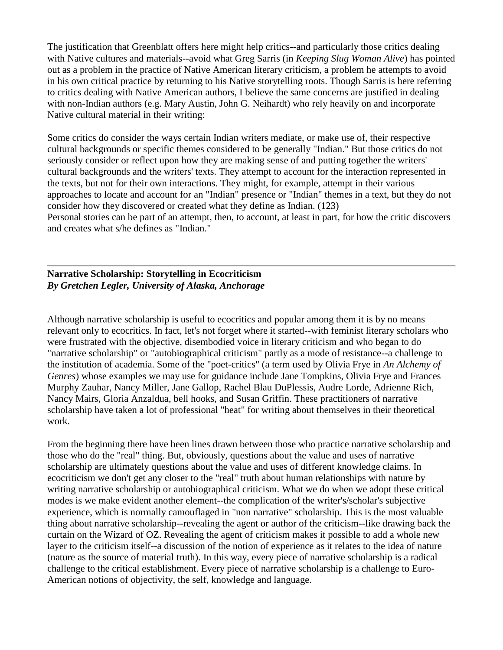The justification that Greenblatt offers here might help critics--and particularly those critics dealing with Native cultures and materials--avoid what Greg Sarris (in *Keeping Slug Woman Alive*) has pointed out as a problem in the practice of Native American literary criticism, a problem he attempts to avoid in his own critical practice by returning to his Native storytelling roots. Though Sarris is here referring to critics dealing with Native American authors, I believe the same concerns are justified in dealing with non-Indian authors (e.g. Mary Austin, John G. Neihardt) who rely heavily on and incorporate Native cultural material in their writing:

Some critics do consider the ways certain Indian writers mediate, or make use of, their respective cultural backgrounds or specific themes considered to be generally "Indian." But those critics do not seriously consider or reflect upon how they are making sense of and putting together the writers' cultural backgrounds and the writers' texts. They attempt to account for the interaction represented in the texts, but not for their own interactions. They might, for example, attempt in their various approaches to locate and account for an "Indian" presence or "Indian" themes in a text, but they do not consider how they discovered or created what they define as Indian. (123) Personal stories can be part of an attempt, then, to account, at least in part, for how the critic discovers and creates what s/he defines as "Indian."

### **Narrative Scholarship: Storytelling in Ecocriticism** *By Gretchen Legler, University of Alaska, Anchorage*

Although narrative scholarship is useful to ecocritics and popular among them it is by no means relevant only to ecocritics. In fact, let's not forget where it started--with feminist literary scholars who were frustrated with the objective, disembodied voice in literary criticism and who began to do "narrative scholarship" or "autobiographical criticism" partly as a mode of resistance--a challenge to the institution of academia. Some of the "poet-critics" (a term used by Olivia Frye in *An Alchemy of Genres*) whose examples we may use for guidance include Jane Tompkins, Olivia Frye and Frances Murphy Zauhar, Nancy Miller, Jane Gallop, Rachel Blau DuPlessis, Audre Lorde, Adrienne Rich, Nancy Mairs, Gloria Anzaldua, bell hooks, and Susan Griffin. These practitioners of narrative scholarship have taken a lot of professional "heat" for writing about themselves in their theoretical work.

From the beginning there have been lines drawn between those who practice narrative scholarship and those who do the "real" thing. But, obviously, questions about the value and uses of narrative scholarship are ultimately questions about the value and uses of different knowledge claims. In ecocriticism we don't get any closer to the "real" truth about human relationships with nature by writing narrative scholarship or autobiographical criticism. What we do when we adopt these critical modes is we make evident another element--the complication of the writer's/scholar's subjective experience, which is normally camouflaged in "non narrative" scholarship. This is the most valuable thing about narrative scholarship--revealing the agent or author of the criticism--like drawing back the curtain on the Wizard of OZ. Revealing the agent of criticism makes it possible to add a whole new layer to the criticism itself--a discussion of the notion of experience as it relates to the idea of nature (nature as the source of material truth). In this way, every piece of narrative scholarship is a radical challenge to the critical establishment. Every piece of narrative scholarship is a challenge to Euro-American notions of objectivity, the self, knowledge and language.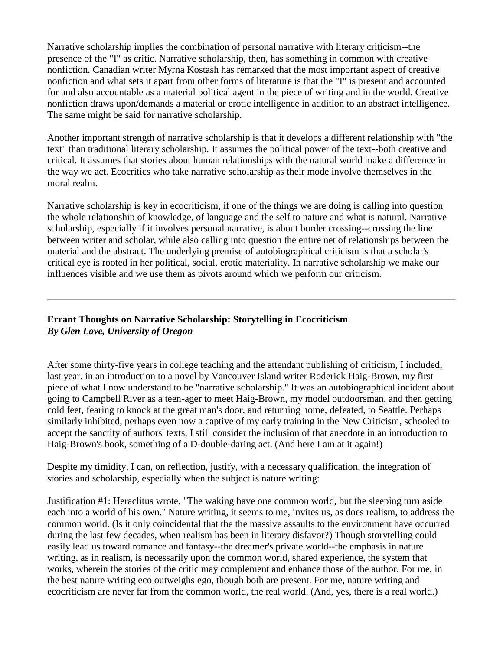Narrative scholarship implies the combination of personal narrative with literary criticism--the presence of the "I" as critic. Narrative scholarship, then, has something in common with creative nonfiction. Canadian writer Myrna Kostash has remarked that the most important aspect of creative nonfiction and what sets it apart from other forms of literature is that the "I" is present and accounted for and also accountable as a material political agent in the piece of writing and in the world. Creative nonfiction draws upon/demands a material or erotic intelligence in addition to an abstract intelligence. The same might be said for narrative scholarship.

Another important strength of narrative scholarship is that it develops a different relationship with "the text" than traditional literary scholarship. It assumes the political power of the text--both creative and critical. It assumes that stories about human relationships with the natural world make a difference in the way we act. Ecocritics who take narrative scholarship as their mode involve themselves in the moral realm.

Narrative scholarship is key in ecocriticism, if one of the things we are doing is calling into question the whole relationship of knowledge, of language and the self to nature and what is natural. Narrative scholarship, especially if it involves personal narrative, is about border crossing--crossing the line between writer and scholar, while also calling into question the entire net of relationships between the material and the abstract. The underlying premise of autobiographical criticism is that a scholar's critical eye is rooted in her political, social. erotic materiality. In narrative scholarship we make our influences visible and we use them as pivots around which we perform our criticism.

# **Errant Thoughts on Narrative Scholarship: Storytelling in Ecocriticism** *By Glen Love, University of Oregon*

After some thirty-five years in college teaching and the attendant publishing of criticism, I included, last year, in an introduction to a novel by Vancouver Island writer Roderick Haig-Brown, my first piece of what I now understand to be "narrative scholarship." It was an autobiographical incident about going to Campbell River as a teen-ager to meet Haig-Brown, my model outdoorsman, and then getting cold feet, fearing to knock at the great man's door, and returning home, defeated, to Seattle. Perhaps similarly inhibited, perhaps even now a captive of my early training in the New Criticism, schooled to accept the sanctity of authors' texts, I still consider the inclusion of that anecdote in an introduction to Haig-Brown's book, something of a D-double-daring act. (And here I am at it again!)

Despite my timidity, I can, on reflection, justify, with a necessary qualification, the integration of stories and scholarship, especially when the subject is nature writing:

Justification #1: Heraclitus wrote, "The waking have one common world, but the sleeping turn aside each into a world of his own." Nature writing, it seems to me, invites us, as does realism, to address the common world. (Is it only coincidental that the the massive assaults to the environment have occurred during the last few decades, when realism has been in literary disfavor?) Though storytelling could easily lead us toward romance and fantasy--the dreamer's private world--the emphasis in nature writing, as in realism, is necessarily upon the common world, shared experience, the system that works, wherein the stories of the critic may complement and enhance those of the author. For me, in the best nature writing eco outweighs ego, though both are present. For me, nature writing and ecocriticism are never far from the common world, the real world. (And, yes, there is a real world.)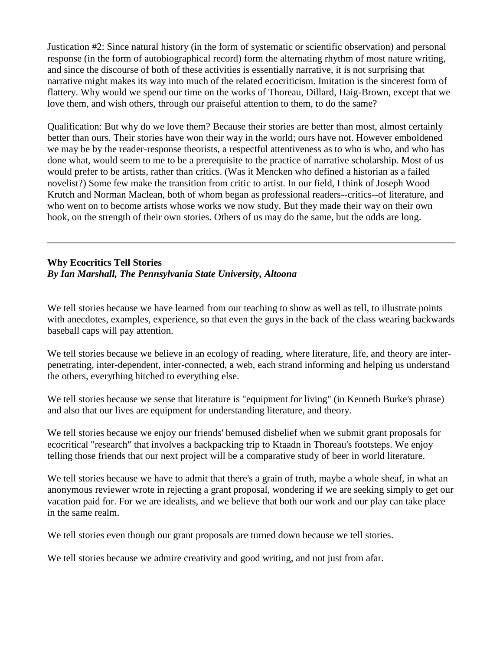Justication #2: Since natural history (in the form of systematic or scientific observation) and personal response (in the form of autobiographical record) form the alternating rhythm of most nature writing, and since the discourse of both of these activities is essentially narrative, it is not surprising that narrative might makes its way into much of the related ecocriticism. Imitation is the sincerest form of flattery. Why would we spend our time on the works of Thoreau, Dillard, Haig-Brown, except that we love them, and wish others, through our praiseful attention to them, to do the same?

Qualification: But why do we love them? Because their stories are better than most, almost certainly better than ours. Their stories have won their way in the world; ours have not. However emboldened we may be by the reader-response theorists, a respectful attentiveness as to who is who, and who has done what, would seem to me to be a prerequisite to the practice of narrative scholarship. Most of us would prefer to be artists, rather than critics. (Was it Mencken who defined a historian as a failed novelist?) Some few make the transition from critic to artist. In our field, I think of Joseph Wood Krutch and Norman Maclean, both of whom began as professional readers--critics--of literature, and who went on to become artists whose works we now study. But they made their way on their own hook, on the strength of their own stories. Others of us may do the same, but the odds are long.

#### **Why Ecocritics Tell Stories** *By Ian Marshall, The Pennsylvania State University, Altoona*

We tell stories because we have learned from our teaching to show as well as tell, to illustrate points with anecdotes, examples, experience, so that even the guys in the back of the class wearing backwards baseball caps will pay attention.

We tell stories because we believe in an ecology of reading, where literature, life, and theory are interpenetrating, inter-dependent, inter-connected, a web, each strand informing and helping us understand the others, everything hitched to everything else.

We tell stories because we sense that literature is "equipment for living" (in Kenneth Burke's phrase) and also that our lives are equipment for understanding literature, and theory.

We tell stories because we enjoy our friends' bemused disbelief when we submit grant proposals for ecocritical "research" that involves a backpacking trip to Ktaadn in Thoreau's footsteps. We enjoy telling those friends that our next project will be a comparative study of beer in world literature.

We tell stories because we have to admit that there's a grain of truth, maybe a whole sheaf, in what an anonymous reviewer wrote in rejecting a grant proposal, wondering if we are seeking simply to get our vacation paid for. For we are idealists, and we believe that both our work and our play can take place in the same realm.

We tell stories even though our grant proposals are turned down because we tell stories.

We tell stories because we admire creativity and good writing, and not just from afar.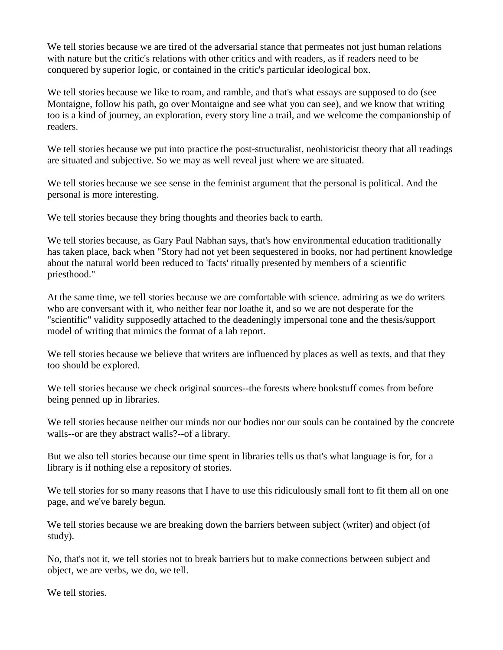We tell stories because we are tired of the adversarial stance that permeates not just human relations with nature but the critic's relations with other critics and with readers, as if readers need to be conquered by superior logic, or contained in the critic's particular ideological box.

We tell stories because we like to roam, and ramble, and that's what essays are supposed to do (see Montaigne, follow his path, go over Montaigne and see what you can see), and we know that writing too is a kind of journey, an exploration, every story line a trail, and we welcome the companionship of readers.

We tell stories because we put into practice the post-structuralist, neohistoricist theory that all readings are situated and subjective. So we may as well reveal just where we are situated.

We tell stories because we see sense in the feminist argument that the personal is political. And the personal is more interesting.

We tell stories because they bring thoughts and theories back to earth.

We tell stories because, as Gary Paul Nabhan says, that's how environmental education traditionally has taken place, back when "Story had not yet been sequestered in books, nor had pertinent knowledge about the natural world been reduced to 'facts' ritually presented by members of a scientific priesthood."

At the same time, we tell stories because we are comfortable with science. admiring as we do writers who are conversant with it, who neither fear nor loathe it, and so we are not desperate for the "scientific" validity supposedly attached to the deadeningly impersonal tone and the thesis/support model of writing that mimics the format of a lab report.

We tell stories because we believe that writers are influenced by places as well as texts, and that they too should be explored.

We tell stories because we check original sources--the forests where bookstuff comes from before being penned up in libraries.

We tell stories because neither our minds nor our bodies nor our souls can be contained by the concrete walls--or are they abstract walls?--of a library.

But we also tell stories because our time spent in libraries tells us that's what language is for, for a library is if nothing else a repository of stories.

We tell stories for so many reasons that I have to use this ridiculously small font to fit them all on one page, and we've barely begun.

We tell stories because we are breaking down the barriers between subject (writer) and object (of study).

No, that's not it, we tell stories not to break barriers but to make connections between subject and object, we are verbs, we do, we tell.

We tell stories.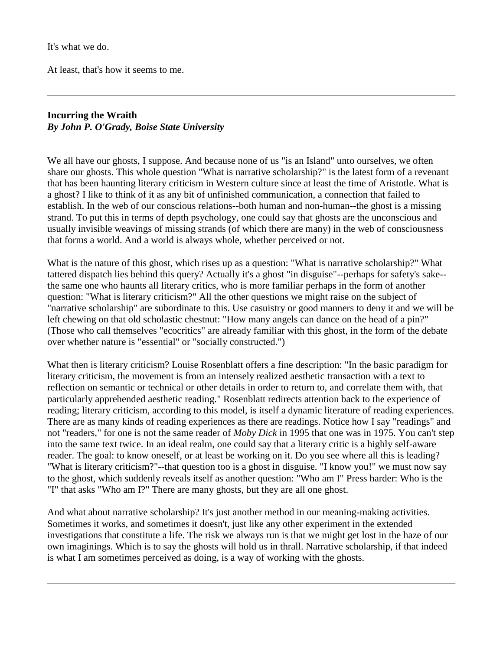It's what we do.

At least, that's how it seems to me.

### **Incurring the Wraith** *By John P. O'Grady, Boise State University*

We all have our ghosts, I suppose. And because none of us "is an Island" unto ourselves, we often share our ghosts. This whole question "What is narrative scholarship?" is the latest form of a revenant that has been haunting literary criticism in Western culture since at least the time of Aristotle. What is a ghost? I like to think of it as any bit of unfinished communication, a connection that failed to establish. In the web of our conscious relations--both human and non-human--the ghost is a missing strand. To put this in terms of depth psychology, one could say that ghosts are the unconscious and usually invisible weavings of missing strands (of which there are many) in the web of consciousness that forms a world. And a world is always whole, whether perceived or not.

What is the nature of this ghost, which rises up as a question: "What is narrative scholarship?" What tattered dispatch lies behind this query? Actually it's a ghost "in disguise"--perhaps for safety's sake- the same one who haunts all literary critics, who is more familiar perhaps in the form of another question: "What is literary criticism?" All the other questions we might raise on the subject of "narrative scholarship" are subordinate to this. Use casuistry or good manners to deny it and we will be left chewing on that old scholastic chestnut: "How many angels can dance on the head of a pin?" (Those who call themselves "ecocritics" are already familiar with this ghost, in the form of the debate over whether nature is "essential" or "socially constructed.")

What then is literary criticism? Louise Rosenblatt offers a fine description: "In the basic paradigm for literary criticism, the movement is from an intensely realized aesthetic transaction with a text to reflection on semantic or technical or other details in order to return to, and correlate them with, that particularly apprehended aesthetic reading." Rosenblatt redirects attention back to the experience of reading; literary criticism, according to this model, is itself a dynamic literature of reading experiences. There are as many kinds of reading experiences as there are readings. Notice how I say "readings" and not "readers," for one is not the same reader of *Moby Dick* in 1995 that one was in 1975. You can't step into the same text twice. In an ideal realm, one could say that a literary critic is a highly self-aware reader. The goal: to know oneself, or at least be working on it. Do you see where all this is leading? "What is literary criticism?"--that question too is a ghost in disguise. "I know you!" we must now say to the ghost, which suddenly reveals itself as another question: "Who am I" Press harder: Who is the "I" that asks "Who am I?" There are many ghosts, but they are all one ghost.

And what about narrative scholarship? It's just another method in our meaning-making activities. Sometimes it works, and sometimes it doesn't, just like any other experiment in the extended investigations that constitute a life. The risk we always run is that we might get lost in the haze of our own imaginings. Which is to say the ghosts will hold us in thrall. Narrative scholarship, if that indeed is what I am sometimes perceived as doing, is a way of working with the ghosts.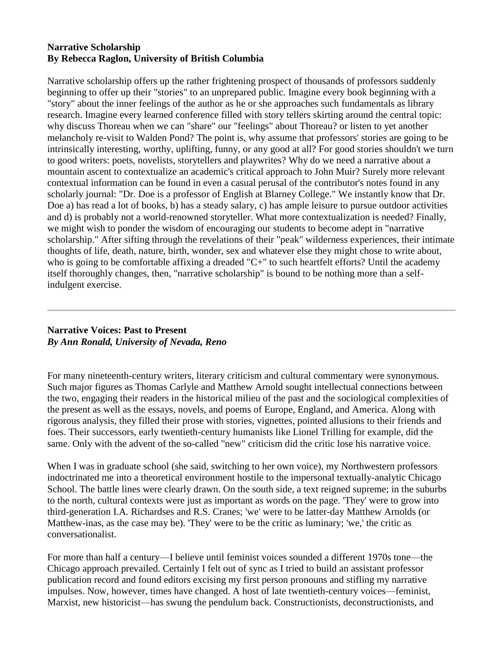### **Narrative Scholarship By Rebecca Raglon, University of British Columbia**

Narrative scholarship offers up the rather frightening prospect of thousands of professors suddenly beginning to offer up their "stories" to an unprepared public. Imagine every book beginning with a "story" about the inner feelings of the author as he or she approaches such fundamentals as library research. Imagine every learned conference filled with story tellers skirting around the central topic: why discuss Thoreau when we can "share" our "feelings" about Thoreau? or listen to yet another melancholy re-visit to Walden Pond? The point is, why assume that professors' stories are going to be intrinsically interesting, worthy, uplifting, funny, or any good at all? For good stories shouldn't we turn to good writers: poets, novelists, storytellers and playwrites? Why do we need a narrative about a mountain ascent to contextualize an academic's critical approach to John Muir? Surely more relevant contextual information can be found in even a casual perusal of the contributor's notes found in any scholarly journal: "Dr. Doe is a professor of English at Blarney College." We instantly know that Dr. Doe a) has read a lot of books, b) has a steady salary, c) has ample leisure to pursue outdoor activities and d) is probably not a world-renowned storyteller. What more contextualization is needed? Finally, we might wish to ponder the wisdom of encouraging our students to become adept in "narrative scholarship." After sifting through the revelations of their "peak" wilderness experiences, their intimate thoughts of life, death, nature, birth, wonder, sex and whatever else they might chose to write about, who is going to be comfortable affixing a dreaded "C+" to such heartfelt efforts? Until the academy itself thoroughly changes, then, "narrative scholarship" is bound to be nothing more than a selfindulgent exercise.

#### **Narrative Voices: Past to Present** *By Ann Ronald, University of Nevada, Reno*

For many nineteenth-century writers, literary criticism and cultural commentary were synonymous. Such major figures as Thomas Carlyle and Matthew Arnold sought intellectual connections between the two, engaging their readers in the historical milieu of the past and the sociological complexities of the present as well as the essays, novels, and poems of Europe, England, and America. Along with rigorous analysis, they filled their prose with stories, vignettes, pointed allusions to their friends and foes. Their successors, early twentieth-century humanists like Lionel Trilling for example, did the same. Only with the advent of the so-called "new" criticism did the critic lose his narrative voice.

When I was in graduate school (she said, switching to her own voice), my Northwestern professors indoctrinated me into a theoretical environment hostile to the impersonal textually-analytic Chicago School. The battle lines were clearly drawn. On the south side, a text reigned supreme; in the suburbs to the north, cultural contexts were just as important as words on the page. 'They' were to grow into third-generation I.A. Richardses and R.S. Cranes; 'we' were to be latter-day Matthew Arnolds (or Matthew-inas, as the case may be). 'They' were to be the critic as luminary; 'we,' the critic as conversationalist.

For more than half a century—I believe until feminist voices sounded a different 1970s tone—the Chicago approach prevailed. Certainly I felt out of sync as I tried to build an assistant professor publication record and found editors excising my first person pronouns and stifling my narrative impulses. Now, however, times have changed. A host of late twentieth-century voices—feminist, Marxist, new historicist—has swung the pendulum back. Constructionists, deconstructionists, and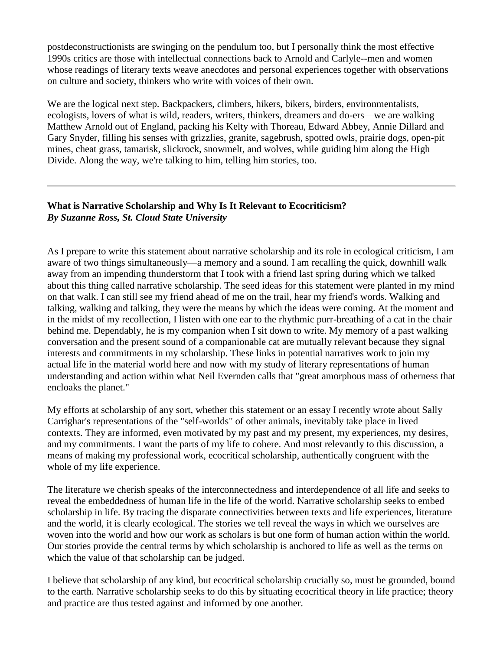postdeconstructionists are swinging on the pendulum too, but I personally think the most effective 1990s critics are those with intellectual connections back to Arnold and Carlyle--men and women whose readings of literary texts weave anecdotes and personal experiences together with observations on culture and society, thinkers who write with voices of their own.

We are the logical next step. Backpackers, climbers, hikers, bikers, birders, environmentalists, ecologists, lovers of what is wild, readers, writers, thinkers, dreamers and do-ers—we are walking Matthew Arnold out of England, packing his Kelty with Thoreau, Edward Abbey, Annie Dillard and Gary Snyder, filling his senses with grizzlies, granite, sagebrush, spotted owls, prairie dogs, open-pit mines, cheat grass, tamarisk, slickrock, snowmelt, and wolves, while guiding him along the High Divide. Along the way, we're talking to him, telling him stories, too.

### **What is Narrative Scholarship and Why Is It Relevant to Ecocriticism?** *By Suzanne Ross, St. Cloud State University*

As I prepare to write this statement about narrative scholarship and its role in ecological criticism, I am aware of two things simultaneously—a memory and a sound. I am recalling the quick, downhill walk away from an impending thunderstorm that I took with a friend last spring during which we talked about this thing called narrative scholarship. The seed ideas for this statement were planted in my mind on that walk. I can still see my friend ahead of me on the trail, hear my friend's words. Walking and talking, walking and talking, they were the means by which the ideas were coming. At the moment and in the midst of my recollection, I listen with one ear to the rhythmic purr-breathing of a cat in the chair behind me. Dependably, he is my companion when I sit down to write. My memory of a past walking conversation and the present sound of a companionable cat are mutually relevant because they signal interests and commitments in my scholarship. These links in potential narratives work to join my actual life in the material world here and now with my study of literary representations of human understanding and action within what Neil Evernden calls that "great amorphous mass of otherness that encloaks the planet."

My efforts at scholarship of any sort, whether this statement or an essay I recently wrote about Sally Carrighar's representations of the "self-worlds" of other animals, inevitably take place in lived contexts. They are informed, even motivated by my past and my present, my experiences, my desires, and my commitments. I want the parts of my life to cohere. And most relevantly to this discussion, a means of making my professional work, ecocritical scholarship, authentically congruent with the whole of my life experience.

The literature we cherish speaks of the interconnectedness and interdependence of all life and seeks to reveal the embeddedness of human life in the life of the world. Narrative scholarship seeks to embed scholarship in life. By tracing the disparate connectivities between texts and life experiences, literature and the world, it is clearly ecological. The stories we tell reveal the ways in which we ourselves are woven into the world and how our work as scholars is but one form of human action within the world. Our stories provide the central terms by which scholarship is anchored to life as well as the terms on which the value of that scholarship can be judged.

I believe that scholarship of any kind, but ecocritical scholarship crucially so, must be grounded, bound to the earth. Narrative scholarship seeks to do this by situating ecocritical theory in life practice; theory and practice are thus tested against and informed by one another.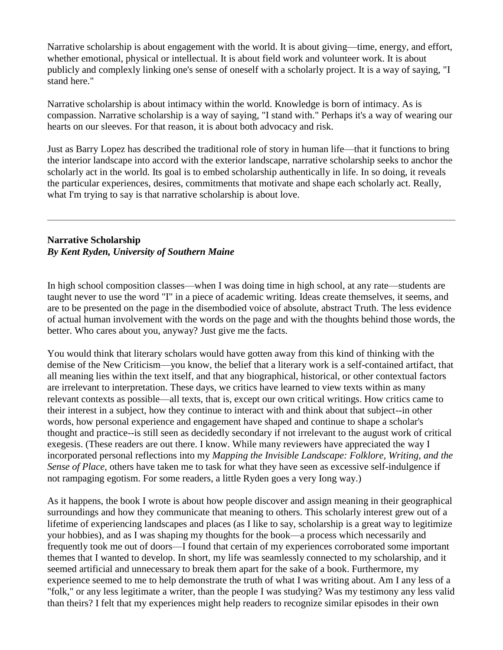Narrative scholarship is about engagement with the world. It is about giving—time, energy, and effort, whether emotional, physical or intellectual. It is about field work and volunteer work. It is about publicly and complexly linking one's sense of oneself with a scholarly project. It is a way of saying, "I stand here."

Narrative scholarship is about intimacy within the world. Knowledge is born of intimacy. As is compassion. Narrative scholarship is a way of saying, "I stand with." Perhaps it's a way of wearing our hearts on our sleeves. For that reason, it is about both advocacy and risk.

Just as Barry Lopez has described the traditional role of story in human life—that it functions to bring the interior landscape into accord with the exterior landscape, narrative scholarship seeks to anchor the scholarly act in the world. Its goal is to embed scholarship authentically in life. In so doing, it reveals the particular experiences, desires, commitments that motivate and shape each scholarly act. Really, what I'm trying to say is that narrative scholarship is about love.

### **Narrative Scholarship** *By Kent Ryden, University of Southern Maine*

In high school composition classes—when I was doing time in high school, at any rate—students are taught never to use the word "I" in a piece of academic writing. Ideas create themselves, it seems, and are to be presented on the page in the disembodied voice of absolute, abstract Truth. The less evidence of actual human involvement with the words on the page and with the thoughts behind those words, the better. Who cares about you, anyway? Just give me the facts.

You would think that literary scholars would have gotten away from this kind of thinking with the demise of the New Criticism—you know, the belief that a literary work is a self-contained artifact, that all meaning lies within the text itself, and that any biographical, historical, or other contextual factors are irrelevant to interpretation. These days, we critics have learned to view texts within as many relevant contexts as possible—all texts, that is, except our own critical writings. How critics came to their interest in a subject, how they continue to interact with and think about that subject--in other words, how personal experience and engagement have shaped and continue to shape a scholar's thought and practice--is still seen as decidedly secondary if not irrelevant to the august work of critical exegesis. (These readers are out there. I know. While many reviewers have appreciated the way I incorporated personal reflections into my *Mapping the Invisible Landscape: Folklore, Writing, and the Sense of Place*, others have taken me to task for what they have seen as excessive self-indulgence if not rampaging egotism. For some readers, a little Ryden goes a very Iong way.)

As it happens, the book I wrote is about how people discover and assign meaning in their geographical surroundings and how they communicate that meaning to others. This scholarly interest grew out of a lifetime of experiencing landscapes and places (as I like to say, scholarship is a great way to legitimize your hobbies), and as I was shaping my thoughts for the book—a process which necessarily and frequently took me out of doors—I found that certain of my experiences corroborated some important themes that I wanted to develop. In short, my life was seamlessly connected to my scholarship, and it seemed artificial and unnecessary to break them apart for the sake of a book. Furthermore, my experience seemed to me to help demonstrate the truth of what I was writing about. Am I any less of a "folk," or any less legitimate a writer, than the people I was studying? Was my testimony any less valid than theirs? I felt that my experiences might help readers to recognize similar episodes in their own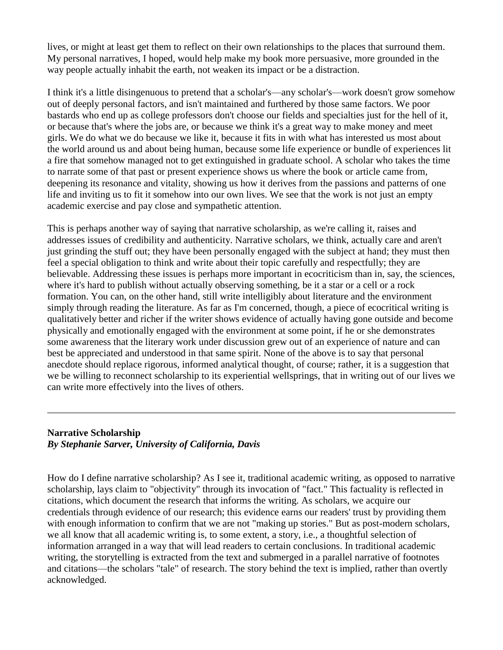lives, or might at least get them to reflect on their own relationships to the places that surround them. My personal narratives, I hoped, would help make my book more persuasive, more grounded in the way people actually inhabit the earth, not weaken its impact or be a distraction.

I think it's a little disingenuous to pretend that a scholar's—any scholar's—work doesn't grow somehow out of deeply personal factors, and isn't maintained and furthered by those same factors. We poor bastards who end up as college professors don't choose our fields and specialties just for the hell of it, or because that's where the jobs are, or because we think it's a great way to make money and meet girls. We do what we do because we like it, because it fits in with what has interested us most about the world around us and about being human, because some life experience or bundle of experiences lit a fire that somehow managed not to get extinguished in graduate school. A scholar who takes the time to narrate some of that past or present experience shows us where the book or article came from, deepening its resonance and vitality, showing us how it derives from the passions and patterns of one life and inviting us to fit it somehow into our own lives. We see that the work is not just an empty academic exercise and pay close and sympathetic attention.

This is perhaps another way of saying that narrative scholarship, as we're calling it, raises and addresses issues of credibility and authenticity. Narrative scholars, we think, actually care and aren't just grinding the stuff out; they have been personally engaged with the subject at hand; they must then feel a special obligation to think and write about their topic carefully and respectfully; they are believable. Addressing these issues is perhaps more important in ecocriticism than in, say, the sciences, where it's hard to publish without actually observing something, be it a star or a cell or a rock formation. You can, on the other hand, still write intelligibly about literature and the environment simply through reading the literature. As far as I'm concerned, though, a piece of ecocritical writing is qualitatively better and richer if the writer shows evidence of actually having gone outside and become physically and emotionally engaged with the environment at some point, if he or she demonstrates some awareness that the literary work under discussion grew out of an experience of nature and can best be appreciated and understood in that same spirit. None of the above is to say that personal anecdote should replace rigorous, informed analytical thought, of course; rather, it is a suggestion that we be willing to reconnect scholarship to its experiential wellsprings, that in writing out of our lives we can write more effectively into the lives of others.

### **Narrative Scholarship** *By Stephanie Sarver, University of California, Davis*

How do I define narrative scholarship? As I see it, traditional academic writing, as opposed to narrative scholarship, lays claim to "objectivity" through its invocation of "fact." This factuality is reflected in citations, which document the research that informs the writing. As scholars, we acquire our credentials through evidence of our research; this evidence earns our readers' trust by providing them with enough information to confirm that we are not "making up stories." But as post-modern scholars, we all know that all academic writing is, to some extent, a story, i.e., a thoughtful selection of information arranged in a way that will lead readers to certain conclusions. In traditional academic writing, the storytelling is extracted from the text and submerged in a parallel narrative of footnotes and citations—the scholars "tale" of research. The story behind the text is implied, rather than overtly acknowledged.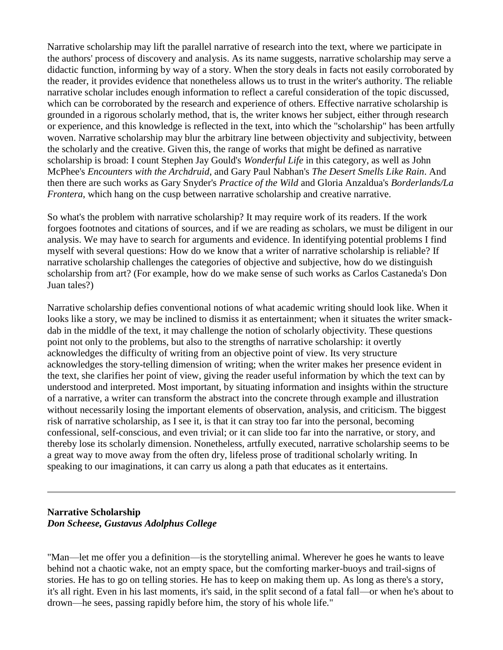Narrative scholarship may lift the parallel narrative of research into the text, where we participate in the authors' process of discovery and analysis. As its name suggests, narrative scholarship may serve a didactic function, informing by way of a story. When the story deals in facts not easily corroborated by the reader, it provides evidence that nonetheless allows us to trust in the writer's authority. The reliable narrative scholar includes enough information to reflect a careful consideration of the topic discussed, which can be corroborated by the research and experience of others. Effective narrative scholarship is grounded in a rigorous scholarly method, that is, the writer knows her subject, either through research or experience, and this knowledge is reflected in the text, into which the "scholarship" has been artfully woven. Narrative scholarship may blur the arbitrary line between objectivity and subjectivity, between the scholarly and the creative. Given this, the range of works that might be defined as narrative scholarship is broad: I count Stephen Jay Gould's *Wonderful Life* in this category, as well as John McPhee's *Encounters with the Archdruid*, and Gary Paul Nabhan's *The Desert Smells Like Rain*. And then there are such works as Gary Snyder's *Practice of the Wild* and Gloria Anzaldua's *Borderlands/La Frontera*, which hang on the cusp between narrative scholarship and creative narrative.

So what's the problem with narrative scholarship? It may require work of its readers. If the work forgoes footnotes and citations of sources, and if we are reading as scholars, we must be diligent in our analysis. We may have to search for arguments and evidence. In identifying potential problems I find myself with several questions: How do we know that a writer of narrative scholarship is reliable? If narrative scholarship challenges the categories of objective and subjective, how do we distinguish scholarship from art? (For example, how do we make sense of such works as Carlos Castaneda's Don Juan tales?)

Narrative scholarship defies conventional notions of what academic writing should look like. When it looks like a story, we may be inclined to dismiss it as entertainment; when it situates the writer smackdab in the middle of the text, it may challenge the notion of scholarly objectivity. These questions point not only to the problems, but also to the strengths of narrative scholarship: it overtly acknowledges the difficulty of writing from an objective point of view. Its very structure acknowledges the story-telling dimension of writing; when the writer makes her presence evident in the text, she clarifies her point of view, giving the reader useful information by which the text can by understood and interpreted. Most important, by situating information and insights within the structure of a narrative, a writer can transform the abstract into the concrete through example and illustration without necessarily losing the important elements of observation, analysis, and criticism. The biggest risk of narrative scholarship, as I see it, is that it can stray too far into the personal, becoming confessional, self-conscious, and even trivial; or it can slide too far into the narrative, or story, and thereby lose its scholarly dimension. Nonetheless, artfully executed, narrative scholarship seems to be a great way to move away from the often dry, lifeless prose of traditional scholarly writing. In speaking to our imaginations, it can carry us along a path that educates as it entertains.

#### **Narrative Scholarship** *Don Scheese, Gustavus Adolphus College*

"Man—let me offer you a definition—is the storytelling animal. Wherever he goes he wants to leave behind not a chaotic wake, not an empty space, but the comforting marker-buoys and trail-signs of stories. He has to go on telling stories. He has to keep on making them up. As long as there's a story, it's all right. Even in his last moments, it's said, in the split second of a fatal fall—or when he's about to drown—he sees, passing rapidly before him, the story of his whole life."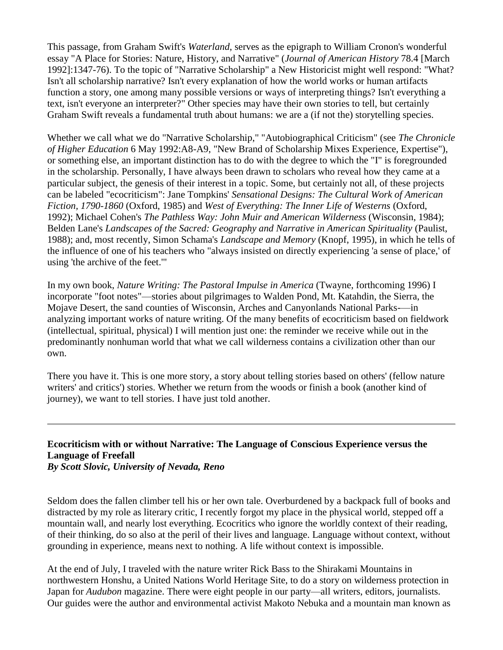This passage, from Graham Swift's *Waterland*, serves as the epigraph to William Cronon's wonderful essay "A Place for Stories: Nature, History, and Narrative" (*Journal of American History* 78.4 [March 1992]:1347-76). To the topic of "Narrative Scholarship" a New Historicist might well respond: "What? Isn't all scholarship narrative? Isn't every explanation of how the world works or human artifacts function a story, one among many possible versions or ways of interpreting things? Isn't everything a text, isn't everyone an interpreter?" Other species may have their own stories to tell, but certainly Graham Swift reveals a fundamental truth about humans: we are a (if not the) storytelling species.

Whether we call what we do "Narrative Scholarship," "Autobiographical Criticism" (see *The Chronicle of Higher Education* 6 May 1992:A8-A9, "New Brand of Scholarship Mixes Experience, Expertise"), or something else, an important distinction has to do with the degree to which the "I" is foregrounded in the scholarship. Personally, I have always been drawn to scholars who reveal how they came at a particular subject, the genesis of their interest in a topic. Some, but certainly not all, of these projects can be labeled "ecocriticism": Jane Tompkins' *Sensational Designs: The Cultural Work of American Fiction, 1790-1860* (Oxford, 1985) and *West of Everything: The Inner Life of Westerns* (Oxford, 1992); Michael Cohen's *The Pathless Way: John Muir and American Wilderness* (Wisconsin, 1984); Belden Lane's *Landscapes of the Sacred: Geography and Narrative in American Spirituality* (Paulist, 1988); and, most recently, Simon Schama's *Landscape and Memory* (Knopf, 1995), in which he tells of the influence of one of his teachers who "always insisted on directly experiencing 'a sense of place,' of using 'the archive of the feet.'"

In my own book, *Nature Writing: The Pastoral Impulse in America* (Twayne, forthcoming 1996) I incorporate "foot notes"—stories about pilgrimages to Walden Pond, Mt. Katahdin, the Sierra, the Mojave Desert, the sand counties of Wisconsin, Arches and Canyonlands National Parks-—in analyzing important works of nature writing. Of the many benefits of ecocriticism based on fieldwork (intellectual, spiritual, physical) I will mention just one: the reminder we receive while out in the predominantly nonhuman world that what we call wilderness contains a civilization other than our own.

There you have it. This is one more story, a story about telling stories based on others' (fellow nature writers' and critics') stories. Whether we return from the woods or finish a book (another kind of journey), we want to tell stories. I have just told another.

# **Ecocriticism with or without Narrative: The Language of Conscious Experience versus the Language of Freefall**

*By Scott Slovic, University of Nevada, Reno*

Seldom does the fallen climber tell his or her own tale. Overburdened by a backpack full of books and distracted by my role as literary critic, I recently forgot my place in the physical world, stepped off a mountain wall, and nearly lost everything. Ecocritics who ignore the worldly context of their reading, of their thinking, do so also at the peril of their lives and language. Language without context, without grounding in experience, means next to nothing. A life without context is impossible.

At the end of July, I traveled with the nature writer Rick Bass to the Shirakami Mountains in northwestern Honshu, a United Nations World Heritage Site, to do a story on wilderness protection in Japan for *Audubon* magazine. There were eight people in our party—all writers, editors, journalists. Our guides were the author and environmental activist Makoto Nebuka and a mountain man known as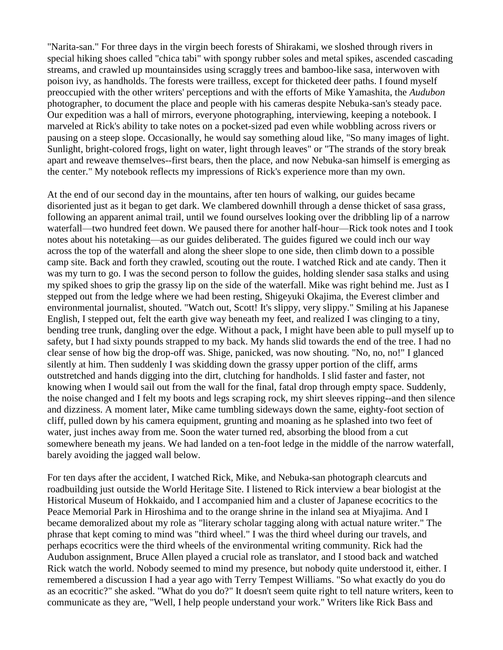"Narita-san." For three days in the virgin beech forests of Shirakami, we sloshed through rivers in special hiking shoes called "chica tabi" with spongy rubber soles and metal spikes, ascended cascading streams, and crawled up mountainsides using scraggly trees and bamboo-like sasa, interwoven with poison ivy, as handholds. The forests were trailless, except for thicketed deer paths. I found myself preoccupied with the other writers' perceptions and with the efforts of Mike Yamashita, the *Audubon* photographer, to document the place and people with his cameras despite Nebuka-san's steady pace. Our expedition was a hall of mirrors, everyone photographing, interviewing, keeping a notebook. I marveled at Rick's ability to take notes on a pocket-sized pad even while wobbling across rivers or pausing on a steep slope. Occasionally, he would say something aloud like, "So many images of light. Sunlight, bright-colored frogs, light on water, light through leaves" or "The strands of the story break apart and reweave themselves--first bears, then the place, and now Nebuka-san himself is emerging as the center." My notebook reflects my impressions of Rick's experience more than my own.

At the end of our second day in the mountains, after ten hours of walking, our guides became disoriented just as it began to get dark. We clambered downhill through a dense thicket of sasa grass, following an apparent animal trail, until we found ourselves looking over the dribbling lip of a narrow waterfall—two hundred feet down. We paused there for another half-hour—Rick took notes and I took notes about his notetaking—as our guides deliberated. The guides figured we could inch our way across the top of the waterfall and along the sheer slope to one side, then climb down to a possible camp site. Back and forth they crawled, scouting out the route. I watched Rick and ate candy. Then it was my turn to go. I was the second person to follow the guides, holding slender sasa stalks and using my spiked shoes to grip the grassy lip on the side of the waterfall. Mike was right behind me. Just as I stepped out from the ledge where we had been resting, Shigeyuki Okajima, the Everest climber and environmental journalist, shouted. "Watch out, Scott! It's slippy, very slippy." Smiling at his Japanese English, I stepped out, felt the earth give way beneath my feet, and realized I was clinging to a tiny, bending tree trunk, dangling over the edge. Without a pack, I might have been able to pull myself up to safety, but I had sixty pounds strapped to my back. My hands slid towards the end of the tree. I had no clear sense of how big the drop-off was. Shige, panicked, was now shouting. "No, no, no!" I glanced silently at him. Then suddenly I was skidding down the grassy upper portion of the cliff, arms outstretched and hands digging into the dirt, clutching for handholds. I slid faster and faster, not knowing when I would sail out from the wall for the final, fatal drop through empty space. Suddenly, the noise changed and I felt my boots and legs scraping rock, my shirt sleeves ripping--and then silence and dizziness. A moment later, Mike came tumbling sideways down the same, eighty-foot section of cliff, pulled down by his camera equipment, grunting and moaning as he splashed into two feet of water, just inches away from me. Soon the water turned red, absorbing the blood from a cut somewhere beneath my jeans. We had landed on a ten-foot ledge in the middle of the narrow waterfall, barely avoiding the jagged wall below.

For ten days after the accident, I watched Rick, Mike, and Nebuka-san photograph clearcuts and roadbuilding just outside the World Heritage Site. I listened to Rick interview a bear biologist at the Historical Museum of Hokkaido, and I accompanied him and a cluster of Japanese ecocritics to the Peace Memorial Park in Hiroshima and to the orange shrine in the inland sea at Miyajima. And I became demoralized about my role as "literary scholar tagging along with actual nature writer." The phrase that kept coming to mind was "third wheel." I was the third wheel during our travels, and perhaps ecocritics were the third wheels of the environmental writing community. Rick had the Audubon assignment, Bruce Allen played a crucial role as translator, and I stood back and watched Rick watch the world. Nobody seemed to mind my presence, but nobody quite understood it, either. I remembered a discussion I had a year ago with Terry Tempest Williams. "So what exactly do you do as an ecocritic?" she asked. "What do you do?" It doesn't seem quite right to tell nature writers, keen to communicate as they are, "Well, I help people understand your work." Writers like Rick Bass and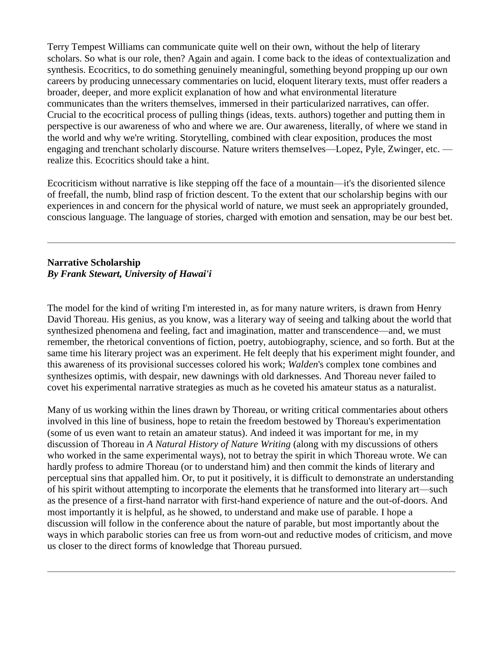Terry Tempest Williams can communicate quite well on their own, without the help of literary scholars. So what is our role, then? Again and again. I come back to the ideas of contextualization and synthesis. Ecocritics, to do something genuinely meaningful, something beyond propping up our own careers by producing unnecessary commentaries on lucid, eloquent literary texts, must offer readers a broader, deeper, and more explicit explanation of how and what environmental literature communicates than the writers themselves, immersed in their particularized narratives, can offer. Crucial to the ecocritical process of pulling things (ideas, texts. authors) together and putting them in perspective is our awareness of who and where we are. Our awareness, literally, of where we stand in the world and why we're writing. Storytelling, combined with clear exposition, produces the most engaging and trenchant scholarly discourse. Nature writers themseIves—Lopez, Pyle, Zwinger, etc. realize this. Ecocritics should take a hint.

Ecocriticism without narrative is like stepping off the face of a mountain—it's the disoriented silence of freefall, the numb, blind rasp of friction descent. To the extent that our scholarship begins with our experiences in and concern for the physical world of nature, we must seek an appropriately grounded, conscious language. The language of stories, charged with emotion and sensation, may be our best bet.

## **Narrative Scholarship** *By Frank Stewart, University of Hawai'i*

The model for the kind of writing I'm interested in, as for many nature writers, is drawn from Henry David Thoreau. His genius, as you know, was a literary way of seeing and talking about the world that synthesized phenomena and feeling, fact and imagination, matter and transcendence—and, we must remember, the rhetorical conventions of fiction, poetry, autobiography, science, and so forth. But at the same time his literary project was an experiment. He felt deeply that his experiment might founder, and this awareness of its provisional successes colored his work; *Walden*'s complex tone combines and synthesizes optimis, with despair, new dawnings with old darknesses. And Thoreau never failed to covet his experimental narrative strategies as much as he coveted his amateur status as a naturalist.

Many of us working within the lines drawn by Thoreau, or writing critical commentaries about others involved in this line of business, hope to retain the freedom bestowed by Thoreau's experimentation (some of us even want to retain an amateur status). And indeed it was important for me, in my discussion of Thoreau in *A Natural History of Nature Writing* (along with my discussions of others who worked in the same experimental ways), not to betray the spirit in which Thoreau wrote. We can hardly profess to admire Thoreau (or to understand him) and then commit the kinds of literary and perceptual sins that appalled him. Or, to put it positively, it is difficult to demonstrate an understanding of his spirit without attempting to incorporate the elements that he transformed into literary art—such as the presence of a first-hand narrator with first-hand experience of nature and the out-of-doors. And most importantly it is helpful, as he showed, to understand and make use of parable. I hope a discussion will follow in the conference about the nature of parable, but most importantly about the ways in which parabolic stories can free us from worn-out and reductive modes of criticism, and move us closer to the direct forms of knowledge that Thoreau pursued.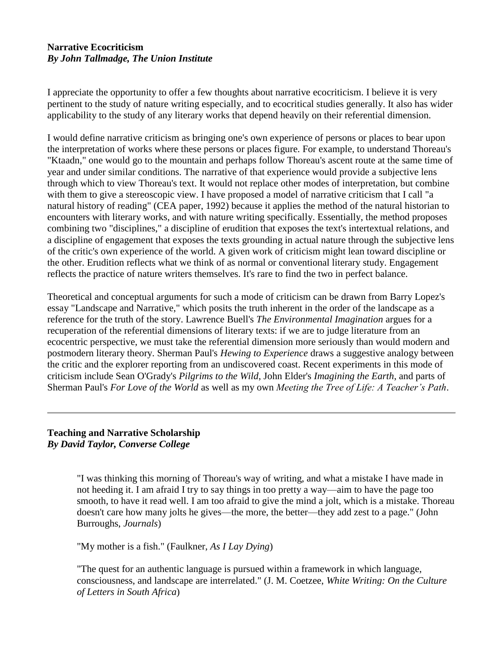#### **Narrative Ecocriticism** *By John Tallmadge, The Union Institute*

I appreciate the opportunity to offer a few thoughts about narrative ecocriticism. I believe it is very pertinent to the study of nature writing especially, and to ecocritical studies generally. It also has wider applicability to the study of any literary works that depend heavily on their referential dimension.

I would define narrative criticism as bringing one's own experience of persons or places to bear upon the interpretation of works where these persons or places figure. For example, to understand Thoreau's "Ktaadn," one would go to the mountain and perhaps follow Thoreau's ascent route at the same time of year and under similar conditions. The narrative of that experience would provide a subjective lens through which to view Thoreau's text. It would not replace other modes of interpretation, but combine with them to give a stereoscopic view. I have proposed a model of narrative criticism that I call "a natural history of reading" (CEA paper, 1992) because it applies the method of the natural historian to encounters with literary works, and with nature writing specifically. Essentially, the method proposes combining two "disciplines," a discipline of erudition that exposes the text's intertextual relations, and a discipline of engagement that exposes the texts grounding in actual nature through the subjective lens of the critic's own experience of the world. A given work of criticism might lean toward discipline or the other. Erudition reflects what we think of as normal or conventional literary study. Engagement reflects the practice of nature writers themselves. It's rare to find the two in perfect balance.

Theoretical and conceptual arguments for such a mode of criticism can be drawn from Barry Lopez's essay "Landscape and Narrative," which posits the truth inherent in the order of the landscape as a reference for the truth of the story. Lawrence Buell's *The Environmental Imagination* argues for a recuperation of the referential dimensions of literary texts: if we are to judge literature from an ecocentric perspective, we must take the referential dimension more seriously than would modern and postmodern literary theory. Sherman Paul's *Hewing to Experience* draws a suggestive analogy between the critic and the explorer reporting from an undiscovered coast. Recent experiments in this mode of criticism include Sean O'Grady's *Pilgrims to the Wild*, John Elder's *Imagining the Earth*, and parts of Sherman Paul's *For Love of the World* as well as my own *Meeting the Tree of Life: A Teacher's Path*.

#### **Teaching and Narrative Scholarship** *By David Taylor, Converse College*

"I was thinking this morning of Thoreau's way of writing, and what a mistake I have made in not heeding it. I am afraid I try to say things in too pretty a way—aim to have the page too smooth, to have it read well. I am too afraid to give the mind a jolt, which is a mistake. Thoreau doesn't care how many jolts he gives—the more, the better—they add zest to a page." (John Burroughs, *Journals*)

"My mother is a fish." (Faulkner, *As I Lay Dying*)

"The quest for an authentic language is pursued within a framework in which language, consciousness, and landscape are interrelated." (J. M. Coetzee, *White Writing: On the Culture of Letters in South Africa*)